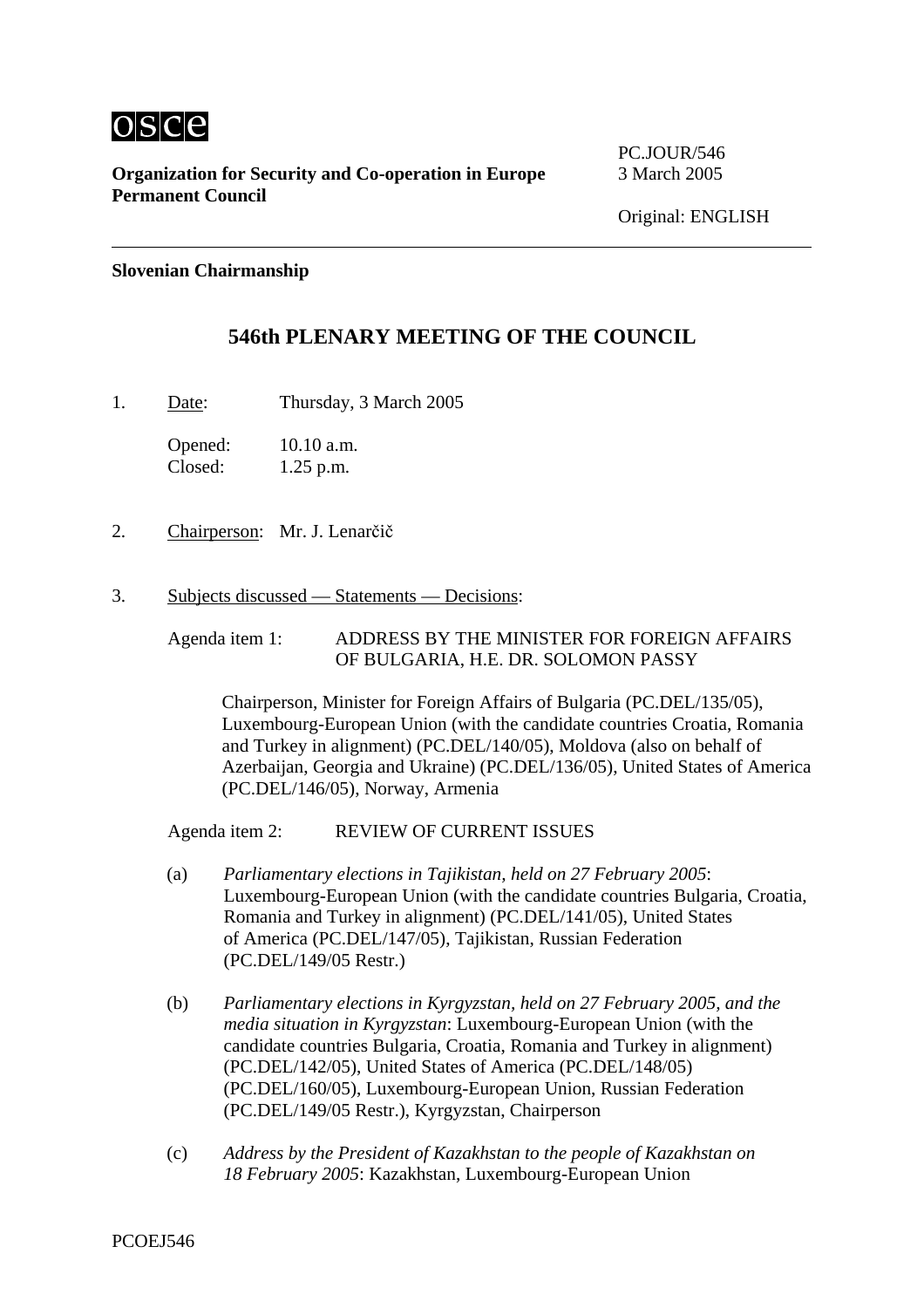

**Organization for Security and Co-operation in Europe** 3 March 2005 **Permanent Council** 

PC.JOUR/546

#### **Slovenian Chairmanship**

# **546th PLENARY MEETING OF THE COUNCIL**

1. Date: Thursday, 3 March 2005

Opened: 10.10 a.m. Closed: 1.25 p.m.

- 2. Chairperson: Mr. J. Lenarčič
- 3. Subjects discussed Statements Decisions:

Agenda item 1: ADDRESS BY THE MINISTER FOR FOREIGN AFFAIRS OF BULGARIA, H.E. DR. SOLOMON PASSY

Chairperson, Minister for Foreign Affairs of Bulgaria (PC.DEL/135/05), Luxembourg-European Union (with the candidate countries Croatia, Romania and Turkey in alignment) (PC.DEL/140/05), Moldova (also on behalf of Azerbaijan, Georgia and Ukraine) (PC.DEL/136/05), United States of America (PC.DEL/146/05), Norway, Armenia

Agenda item 2: REVIEW OF CURRENT ISSUES

- (a) *Parliamentary elections in Tajikistan, held on 27 February 2005*: Luxembourg-European Union (with the candidate countries Bulgaria, Croatia, Romania and Turkey in alignment) (PC.DEL/141/05), United States of America (PC.DEL/147/05), Tajikistan, Russian Federation (PC.DEL/149/05 Restr.)
- (b) *Parliamentary elections in Kyrgyzstan, held on 27 February 2005, and the media situation in Kyrgyzstan*: Luxembourg-European Union (with the candidate countries Bulgaria, Croatia, Romania and Turkey in alignment) (PC.DEL/142/05), United States of America (PC.DEL/148/05) (PC.DEL/160/05), Luxembourg-European Union, Russian Federation (PC.DEL/149/05 Restr.), Kyrgyzstan, Chairperson
- (c) *Address by the President of Kazakhstan to the people of Kazakhstan on 18 February 2005*: Kazakhstan, Luxembourg-European Union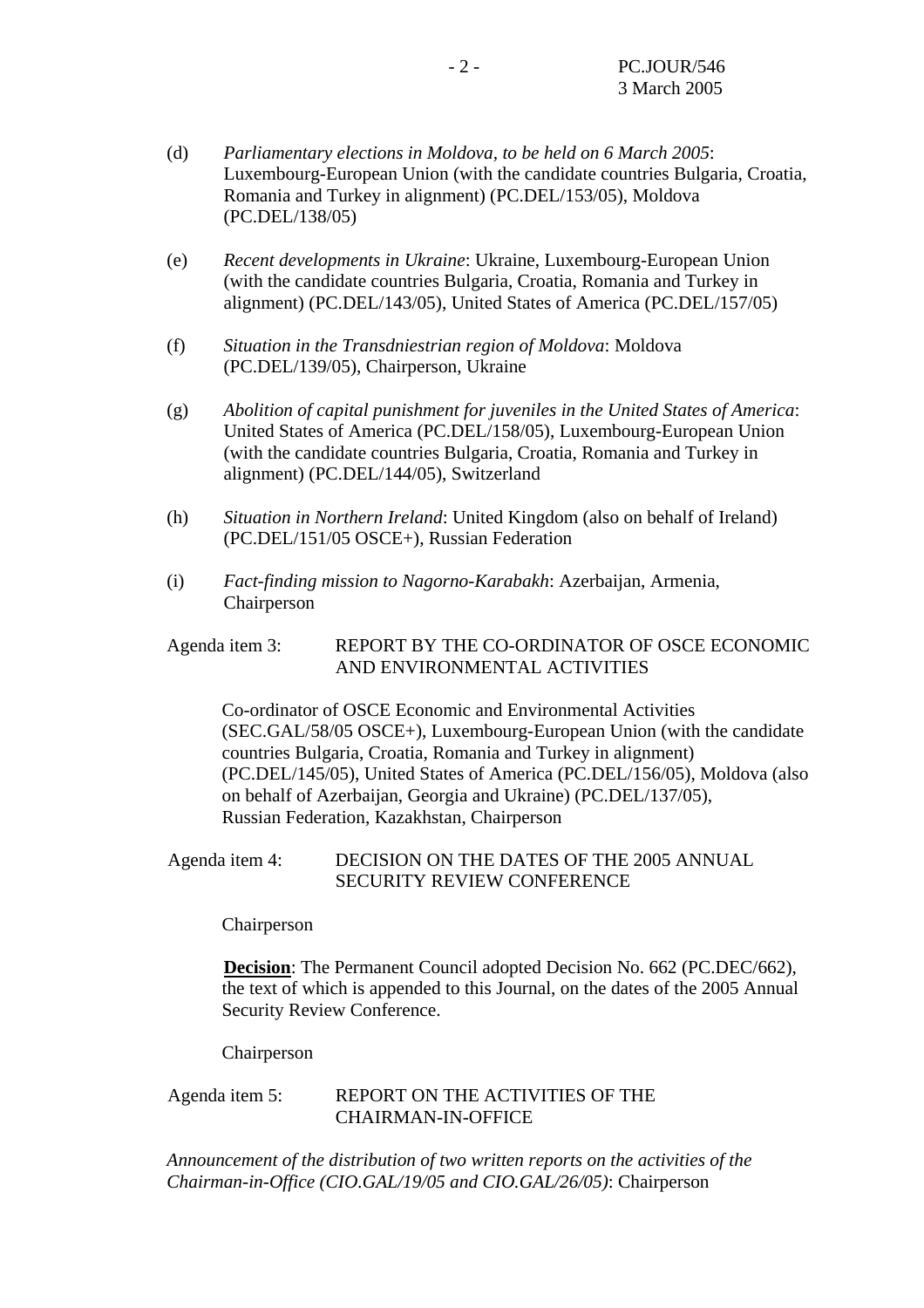- (d) *Parliamentary elections in Moldova, to be held on 6 March 2005*: Luxembourg-European Union (with the candidate countries Bulgaria, Croatia, Romania and Turkey in alignment) (PC.DEL/153/05), Moldova (PC.DEL/138/05)
- (e) *Recent developments in Ukraine*: Ukraine, Luxembourg-European Union (with the candidate countries Bulgaria, Croatia, Romania and Turkey in alignment) (PC.DEL/143/05), United States of America (PC.DEL/157/05)
- (f) *Situation in the Transdniestrian region of Moldova*: Moldova (PC.DEL/139/05), Chairperson, Ukraine
- (g) *Abolition of capital punishment for juveniles in the United States of America*: United States of America (PC.DEL/158/05), Luxembourg-European Union (with the candidate countries Bulgaria, Croatia, Romania and Turkey in alignment) (PC.DEL/144/05), Switzerland
- (h) *Situation in Northern Ireland*: United Kingdom (also on behalf of Ireland) (PC.DEL/151/05 OSCE+), Russian Federation
- (i) *Fact-finding mission to Nagorno-Karabakh*: Azerbaijan, Armenia, Chairperson

## Agenda item 3: REPORT BY THE CO-ORDINATOR OF OSCE ECONOMIC AND ENVIRONMENTAL ACTIVITIES

Co-ordinator of OSCE Economic and Environmental Activities (SEC.GAL/58/05 OSCE+), Luxembourg-European Union (with the candidate countries Bulgaria, Croatia, Romania and Turkey in alignment) (PC.DEL/145/05), United States of America (PC.DEL/156/05), Moldova (also on behalf of Azerbaijan, Georgia and Ukraine) (PC.DEL/137/05), Russian Federation, Kazakhstan, Chairperson

## Agenda item 4: DECISION ON THE DATES OF THE 2005 ANNUAL SECURITY REVIEW CONFERENCE

Chairperson

**Decision**: The Permanent Council adopted Decision No. 662 (PC.DEC/662), the text of which is appended to this Journal, on the dates of the 2005 Annual Security Review Conference.

Chairperson

## Agenda item 5: REPORT ON THE ACTIVITIES OF THE CHAIRMAN-IN-OFFICE

*Announcement of the distribution of two written reports on the activities of the Chairman-in-Office (CIO.GAL/19/05 and CIO.GAL/26/05)*: Chairperson